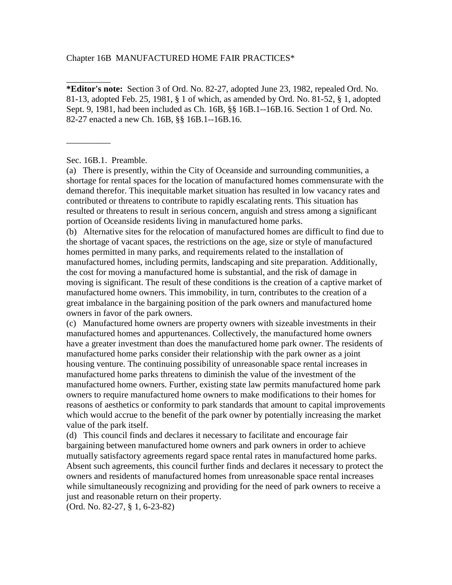Chapter 16B MANUFACTURED HOME FAIR PRACTICES\*

**\*Editor's note:** Section 3 of Ord. No. 82-27, adopted June 23, 1982, repealed Ord. No. 81-13, adopted Feb. 25, 1981, § 1 of which, as amended by Ord. No. 81-52, § 1, adopted Sept. 9, 1981, had been included as Ch. 16B, §§ 16B.1--16B.16. Section 1 of Ord. No. 82-27 enacted a new Ch. 16B, §§ 16B.1--16B.16.

Sec. 16B.1. Preamble.

\_\_\_\_\_\_\_\_\_\_

\_\_\_\_\_\_\_\_\_\_

(a) There is presently, within the City of Oceanside and surrounding communities, a shortage for rental spaces for the location of manufactured homes commensurate with the demand therefor. This inequitable market situation has resulted in low vacancy rates and contributed or threatens to contribute to rapidly escalating rents. This situation has resulted or threatens to result in serious concern, anguish and stress among a significant portion of Oceanside residents living in manufactured home parks.

(b) Alternative sites for the relocation of manufactured homes are difficult to find due to the shortage of vacant spaces, the restrictions on the age, size or style of manufactured homes permitted in many parks, and requirements related to the installation of manufactured homes, including permits, landscaping and site preparation. Additionally, the cost for moving a manufactured home is substantial, and the risk of damage in moving is significant. The result of these conditions is the creation of a captive market of manufactured home owners. This immobility, in turn, contributes to the creation of a great imbalance in the bargaining position of the park owners and manufactured home owners in favor of the park owners.

(c) Manufactured home owners are property owners with sizeable investments in their manufactured homes and appurtenances. Collectively, the manufactured home owners have a greater investment than does the manufactured home park owner. The residents of manufactured home parks consider their relationship with the park owner as a joint housing venture. The continuing possibility of unreasonable space rental increases in manufactured home parks threatens to diminish the value of the investment of the manufactured home owners. Further, existing state law permits manufactured home park owners to require manufactured home owners to make modifications to their homes for reasons of aesthetics or conformity to park standards that amount to capital improvements which would accrue to the benefit of the park owner by potentially increasing the market value of the park itself.

(d) This council finds and declares it necessary to facilitate and encourage fair bargaining between manufactured home owners and park owners in order to achieve mutually satisfactory agreements regard space rental rates in manufactured home parks. Absent such agreements, this council further finds and declares it necessary to protect the owners and residents of manufactured homes from unreasonable space rental increases while simultaneously recognizing and providing for the need of park owners to receive a just and reasonable return on their property.

(Ord. No. 82-27, § 1, 6-23-82)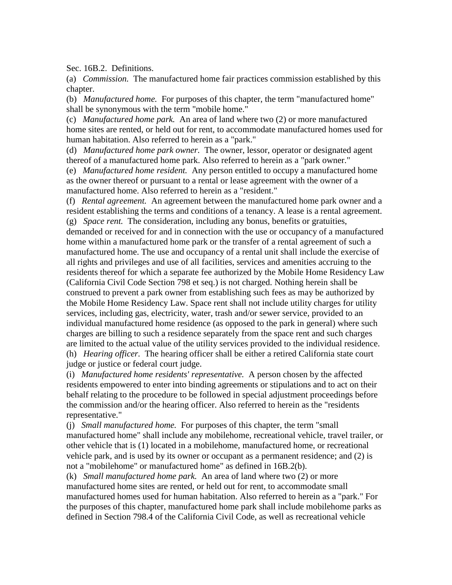Sec. 16B.2. Definitions.

(a) *Commission.* The manufactured home fair practices commission established by this chapter.

(b) *Manufactured home.* For purposes of this chapter, the term "manufactured home" shall be synonymous with the term "mobile home."

(c) *Manufactured home park.* An area of land where two (2) or more manufactured home sites are rented, or held out for rent, to accommodate manufactured homes used for human habitation. Also referred to herein as a "park."

(d) *Manufactured home park owner.* The owner, lessor, operator or designated agent thereof of a manufactured home park. Also referred to herein as a "park owner."

(e) *Manufactured home resident.* Any person entitled to occupy a manufactured home as the owner thereof or pursuant to a rental or lease agreement with the owner of a manufactured home. Also referred to herein as a "resident."

(f) *Rental agreement.* An agreement between the manufactured home park owner and a resident establishing the terms and conditions of a tenancy. A lease is a rental agreement. (g) *Space rent.* The consideration, including any bonus, benefits or gratuities, demanded or received for and in connection with the use or occupancy of a manufactured home within a manufactured home park or the transfer of a rental agreement of such a manufactured home. The use and occupancy of a rental unit shall include the exercise of all rights and privileges and use of all facilities, services and amenities accruing to the residents thereof for which a separate fee authorized by the Mobile Home Residency Law (California Civil Code Section 798 et seq.) is not charged. Nothing herein shall be construed to prevent a park owner from establishing such fees as may be authorized by the Mobile Home Residency Law. Space rent shall not include utility charges for utility services, including gas, electricity, water, trash and/or sewer service, provided to an individual manufactured home residence (as opposed to the park in general) where such charges are billing to such a residence separately from the space rent and such charges are limited to the actual value of the utility services provided to the individual residence. (h) *Hearing officer.* The hearing officer shall be either a retired California state court judge or justice or federal court judge.

(i) *Manufactured home residents' representative.* A person chosen by the affected residents empowered to enter into binding agreements or stipulations and to act on their behalf relating to the procedure to be followed in special adjustment proceedings before the commission and/or the hearing officer. Also referred to herein as the "residents representative."

(j) *Small manufactured home.* For purposes of this chapter, the term "small manufactured home" shall include any mobilehome, recreational vehicle, travel trailer, or other vehicle that is (1) located in a mobilehome, manufactured home, or recreational vehicle park, and is used by its owner or occupant as a permanent residence; and (2) is not a "mobilehome" or manufactured home" as defined in 16B.2(b).

(k) *Small manufactured home park.* An area of land where two (2) or more manufactured home sites are rented, or held out for rent, to accommodate small manufactured homes used for human habitation. Also referred to herein as a "park." For the purposes of this chapter, manufactured home park shall include mobilehome parks as defined in Section 798.4 of the California Civil Code, as well as recreational vehicle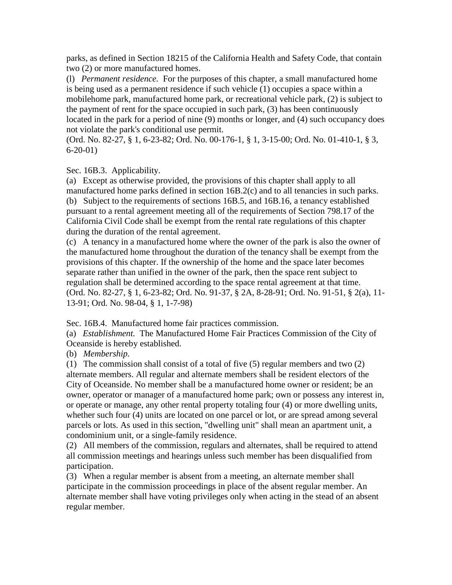parks, as defined in Section 18215 of the California Health and Safety Code, that contain two (2) or more manufactured homes.

(l) *Permanent residence.* For the purposes of this chapter, a small manufactured home is being used as a permanent residence if such vehicle (1) occupies a space within a mobilehome park, manufactured home park, or recreational vehicle park, (2) is subject to the payment of rent for the space occupied in such park, (3) has been continuously located in the park for a period of nine (9) months or longer, and (4) such occupancy does not violate the park's conditional use permit.

(Ord. No. 82-27, § 1, 6-23-82; Ord. No. 00-176-1, § 1, 3-15-00; Ord. No. 01-410-1, § 3, 6-20-01)

Sec. 16B.3. Applicability.

(a) Except as otherwise provided, the provisions of this chapter shall apply to all manufactured home parks defined in section 16B.2(c) and to all tenancies in such parks. (b) Subject to the requirements of sections 16B.5, and 16B.16, a tenancy established pursuant to a rental agreement meeting all of the requirements of Section 798.17 of the California Civil Code shall be exempt from the rental rate regulations of this chapter during the duration of the rental agreement.

(c) A tenancy in a manufactured home where the owner of the park is also the owner of the manufactured home throughout the duration of the tenancy shall be exempt from the provisions of this chapter. If the ownership of the home and the space later becomes separate rather than unified in the owner of the park, then the space rent subject to regulation shall be determined according to the space rental agreement at that time. (Ord. No. 82-27, § 1, 6-23-82; Ord. No. 91-37, § 2A, 8-28-91; Ord. No. 91-51, § 2(a), 11- 13-91; Ord. No. 98-04, § 1, 1-7-98)

Sec. 16B.4. Manufactured home fair practices commission.

(a) *Establishment.* The Manufactured Home Fair Practices Commission of the City of Oceanside is hereby established.

(b) *Membership.*

(1) The commission shall consist of a total of five (5) regular members and two (2) alternate members. All regular and alternate members shall be resident electors of the City of Oceanside. No member shall be a manufactured home owner or resident; be an owner, operator or manager of a manufactured home park; own or possess any interest in, or operate or manage, any other rental property totaling four (4) or more dwelling units, whether such four (4) units are located on one parcel or lot, or are spread among several parcels or lots. As used in this section, "dwelling unit" shall mean an apartment unit, a condominium unit, or a single-family residence.

(2) All members of the commission, regulars and alternates, shall be required to attend all commission meetings and hearings unless such member has been disqualified from participation.

(3) When a regular member is absent from a meeting, an alternate member shall participate in the commission proceedings in place of the absent regular member. An alternate member shall have voting privileges only when acting in the stead of an absent regular member.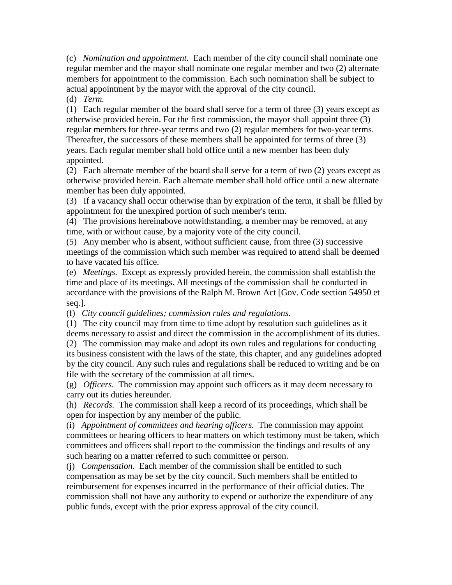(c) *Nomination and appointment.* Each member of the city council shall nominate one regular member and the mayor shall nominate one regular member and two (2) alternate members for appointment to the commission. Each such nomination shall be subject to actual appointment by the mayor with the approval of the city council.

(d) *Term.*

(1) Each regular member of the board shall serve for a term of three (3) years except as otherwise provided herein. For the first commission, the mayor shall appoint three (3) regular members for three-year terms and two (2) regular members for two-year terms. Thereafter, the successors of these members shall be appointed for terms of three (3) years. Each regular member shall hold office until a new member has been duly appointed.

(2) Each alternate member of the board shall serve for a term of two (2) years except as otherwise provided herein. Each alternate member shall hold office until a new alternate member has been duly appointed.

(3) If a vacancy shall occur otherwise than by expiration of the term, it shall be filled by appointment for the unexpired portion of such member's term.

(4) The provisions hereinabove notwithstanding, a member may be removed, at any time, with or without cause, by a majority vote of the city council.

(5) Any member who is absent, without sufficient cause, from three (3) successive meetings of the commission which such member was required to attend shall be deemed to have vacated his office.

(e) *Meetings.* Except as expressly provided herein, the commission shall establish the time and place of its meetings. All meetings of the commission shall be conducted in accordance with the provisions of the Ralph M. Brown Act [Gov. Code section 54950 et seq.].

(f) *City council guidelines; commission rules and regulations.*

(1) The city council may from time to time adopt by resolution such guidelines as it deems necessary to assist and direct the commission in the accomplishment of its duties.

(2) The commission may make and adopt its own rules and regulations for conducting its business consistent with the laws of the state, this chapter, and any guidelines adopted by the city council. Any such rules and regulations shall be reduced to writing and be on file with the secretary of the commission at all times.

(g) *Officers.* The commission may appoint such officers as it may deem necessary to carry out its duties hereunder.

(h) *Records.* The commission shall keep a record of its proceedings, which shall be open for inspection by any member of the public.

(i) *Appointment of committees and hearing officers.* The commission may appoint committees or hearing officers to hear matters on which testimony must be taken, which committees and officers shall report to the commission the findings and results of any such hearing on a matter referred to such committee or person.

(j) *Compensation.* Each member of the commission shall be entitled to such compensation as may be set by the city council. Such members shall be entitled to reimbursement for expenses incurred in the performance of their official duties. The commission shall not have any authority to expend or authorize the expenditure of any public funds, except with the prior express approval of the city council.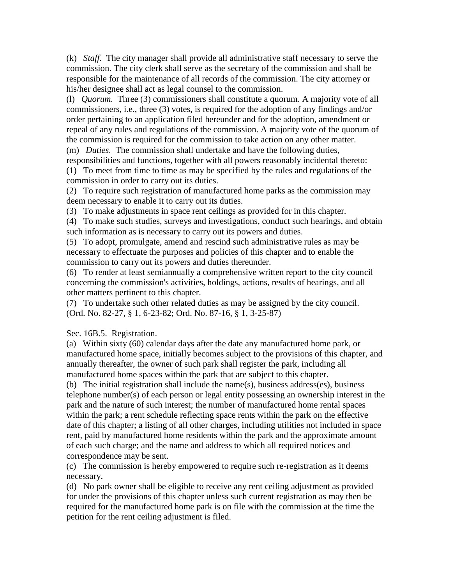(k) *Staff.* The city manager shall provide all administrative staff necessary to serve the commission. The city clerk shall serve as the secretary of the commission and shall be responsible for the maintenance of all records of the commission. The city attorney or his/her designee shall act as legal counsel to the commission.

(l) *Quorum.* Three (3) commissioners shall constitute a quorum. A majority vote of all commissioners, i.e., three (3) votes, is required for the adoption of any findings and/or order pertaining to an application filed hereunder and for the adoption, amendment or repeal of any rules and regulations of the commission. A majority vote of the quorum of the commission is required for the commission to take action on any other matter.

(m) *Duties.* The commission shall undertake and have the following duties, responsibilities and functions, together with all powers reasonably incidental thereto:

(1) To meet from time to time as may be specified by the rules and regulations of the commission in order to carry out its duties.

(2) To require such registration of manufactured home parks as the commission may deem necessary to enable it to carry out its duties.

(3) To make adjustments in space rent ceilings as provided for in this chapter.

(4) To make such studies, surveys and investigations, conduct such hearings, and obtain such information as is necessary to carry out its powers and duties.

(5) To adopt, promulgate, amend and rescind such administrative rules as may be necessary to effectuate the purposes and policies of this chapter and to enable the commission to carry out its powers and duties thereunder.

(6) To render at least semiannually a comprehensive written report to the city council concerning the commission's activities, holdings, actions, results of hearings, and all other matters pertinent to this chapter.

(7) To undertake such other related duties as may be assigned by the city council. (Ord. No. 82-27, § 1, 6-23-82; Ord. No. 87-16, § 1, 3-25-87)

## Sec. 16B.5. Registration.

(a) Within sixty (60) calendar days after the date any manufactured home park, or manufactured home space, initially becomes subject to the provisions of this chapter, and annually thereafter, the owner of such park shall register the park, including all manufactured home spaces within the park that are subject to this chapter.

(b) The initial registration shall include the name(s), business address(es), business telephone number(s) of each person or legal entity possessing an ownership interest in the park and the nature of such interest; the number of manufactured home rental spaces within the park; a rent schedule reflecting space rents within the park on the effective date of this chapter; a listing of all other charges, including utilities not included in space rent, paid by manufactured home residents within the park and the approximate amount of each such charge; and the name and address to which all required notices and correspondence may be sent.

(c) The commission is hereby empowered to require such re-registration as it deems necessary.

(d) No park owner shall be eligible to receive any rent ceiling adjustment as provided for under the provisions of this chapter unless such current registration as may then be required for the manufactured home park is on file with the commission at the time the petition for the rent ceiling adjustment is filed.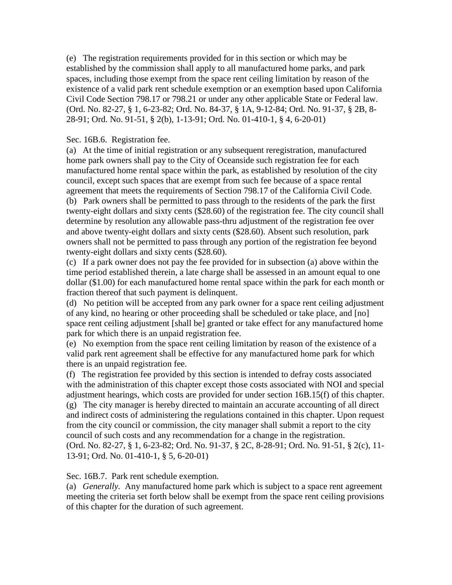(e) The registration requirements provided for in this section or which may be established by the commission shall apply to all manufactured home parks, and park spaces, including those exempt from the space rent ceiling limitation by reason of the existence of a valid park rent schedule exemption or an exemption based upon California Civil Code Section 798.17 or 798.21 or under any other applicable State or Federal law. (Ord. No. 82-27, § 1, 6-23-82; Ord. No. 84-37, § 1A, 9-12-84; Ord. No. 91-37, § 2B, 8- 28-91; Ord. No. 91-51, § 2(b), 1-13-91; Ord. No. 01-410-1, § 4, 6-20-01)

## Sec. 16B.6. Registration fee.

(a) At the time of initial registration or any subsequent reregistration, manufactured home park owners shall pay to the City of Oceanside such registration fee for each manufactured home rental space within the park, as established by resolution of the city council, except such spaces that are exempt from such fee because of a space rental agreement that meets the requirements of Section 798.17 of the California Civil Code. (b) Park owners shall be permitted to pass through to the residents of the park the first twenty-eight dollars and sixty cents (\$28.60) of the registration fee. The city council shall determine by resolution any allowable pass-thru adjustment of the registration fee over and above twenty-eight dollars and sixty cents (\$28.60). Absent such resolution, park owners shall not be permitted to pass through any portion of the registration fee beyond twenty-eight dollars and sixty cents (\$28.60).

(c) If a park owner does not pay the fee provided for in subsection (a) above within the time period established therein, a late charge shall be assessed in an amount equal to one dollar (\$1.00) for each manufactured home rental space within the park for each month or fraction thereof that such payment is delinquent.

(d) No petition will be accepted from any park owner for a space rent ceiling adjustment of any kind, no hearing or other proceeding shall be scheduled or take place, and [no] space rent ceiling adjustment [shall be] granted or take effect for any manufactured home park for which there is an unpaid registration fee.

(e) No exemption from the space rent ceiling limitation by reason of the existence of a valid park rent agreement shall be effective for any manufactured home park for which there is an unpaid registration fee.

(f) The registration fee provided by this section is intended to defray costs associated with the administration of this chapter except those costs associated with NOI and special adjustment hearings, which costs are provided for under section 16B.15(f) of this chapter. (g) The city manager is hereby directed to maintain an accurate accounting of all direct and indirect costs of administering the regulations contained in this chapter. Upon request from the city council or commission, the city manager shall submit a report to the city council of such costs and any recommendation for a change in the registration. (Ord. No. 82-27, § 1, 6-23-82; Ord. No. 91-37, § 2C, 8-28-91; Ord. No. 91-51, § 2(c), 11- 13-91; Ord. No. 01-410-1, § 5, 6-20-01)

Sec. 16B.7. Park rent schedule exemption.

(a) *Generally.* Any manufactured home park which is subject to a space rent agreement meeting the criteria set forth below shall be exempt from the space rent ceiling provisions of this chapter for the duration of such agreement.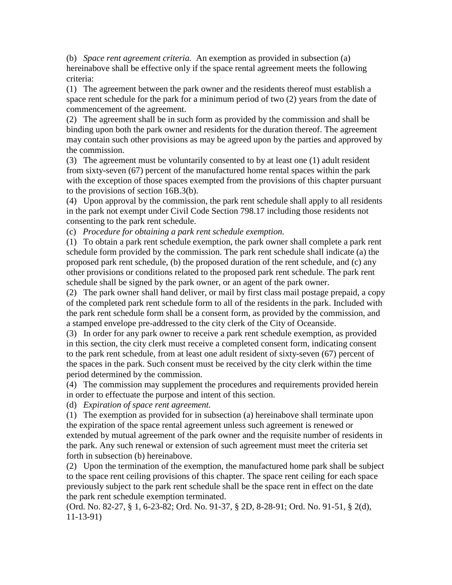(b) *Space rent agreement criteria.* An exemption as provided in subsection (a) hereinabove shall be effective only if the space rental agreement meets the following criteria:

(1) The agreement between the park owner and the residents thereof must establish a space rent schedule for the park for a minimum period of two (2) years from the date of commencement of the agreement.

(2) The agreement shall be in such form as provided by the commission and shall be binding upon both the park owner and residents for the duration thereof. The agreement may contain such other provisions as may be agreed upon by the parties and approved by the commission.

(3) The agreement must be voluntarily consented to by at least one (1) adult resident from sixty-seven (67) percent of the manufactured home rental spaces within the park with the exception of those spaces exempted from the provisions of this chapter pursuant to the provisions of section 16B.3(b).

(4) Upon approval by the commission, the park rent schedule shall apply to all residents in the park not exempt under Civil Code Section 798.17 including those residents not consenting to the park rent schedule.

(c) *Procedure for obtaining a park rent schedule exemption.*

(1) To obtain a park rent schedule exemption, the park owner shall complete a park rent schedule form provided by the commission. The park rent schedule shall indicate (a) the proposed park rent schedule, (b) the proposed duration of the rent schedule, and (c) any other provisions or conditions related to the proposed park rent schedule. The park rent schedule shall be signed by the park owner, or an agent of the park owner.

(2) The park owner shall hand deliver, or mail by first class mail postage prepaid, a copy of the completed park rent schedule form to all of the residents in the park. Included with the park rent schedule form shall be a consent form, as provided by the commission, and a stamped envelope pre-addressed to the city clerk of the City of Oceanside.

(3) In order for any park owner to receive a park rent schedule exemption, as provided in this section, the city clerk must receive a completed consent form, indicating consent to the park rent schedule, from at least one adult resident of sixty-seven (67) percent of the spaces in the park. Such consent must be received by the city clerk within the time period determined by the commission.

(4) The commission may supplement the procedures and requirements provided herein in order to effectuate the purpose and intent of this section.

(d) *Expiration of space rent agreement.*

(1) The exemption as provided for in subsection (a) hereinabove shall terminate upon the expiration of the space rental agreement unless such agreement is renewed or extended by mutual agreement of the park owner and the requisite number of residents in the park. Any such renewal or extension of such agreement must meet the criteria set forth in subsection (b) hereinabove.

(2) Upon the termination of the exemption, the manufactured home park shall be subject to the space rent ceiling provisions of this chapter. The space rent ceiling for each space previously subject to the park rent schedule shall be the space rent in effect on the date the park rent schedule exemption terminated.

(Ord. No. 82-27, § 1, 6-23-82; Ord. No. 91-37, § 2D, 8-28-91; Ord. No. 91-51, § 2(d), 11-13-91)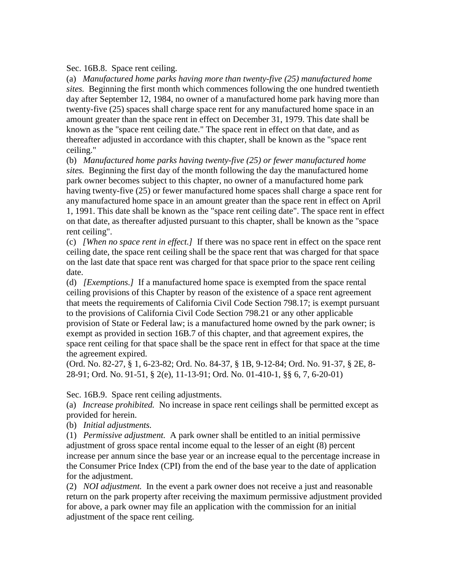Sec. 16B.8. Space rent ceiling.

(a) *Manufactured home parks having more than twenty-five (25) manufactured home sites.* Beginning the first month which commences following the one hundred twentieth day after September 12, 1984, no owner of a manufactured home park having more than twenty-five (25) spaces shall charge space rent for any manufactured home space in an amount greater than the space rent in effect on December 31, 1979. This date shall be known as the "space rent ceiling date." The space rent in effect on that date, and as thereafter adjusted in accordance with this chapter, shall be known as the "space rent ceiling."

(b) *Manufactured home parks having twenty-five (25) or fewer manufactured home sites.* Beginning the first day of the month following the day the manufactured home park owner becomes subject to this chapter, no owner of a manufactured home park having twenty-five (25) or fewer manufactured home spaces shall charge a space rent for any manufactured home space in an amount greater than the space rent in effect on April 1, 1991. This date shall be known as the "space rent ceiling date". The space rent in effect on that date, as thereafter adjusted pursuant to this chapter, shall be known as the "space rent ceiling".

(c) *[When no space rent in effect.]* If there was no space rent in effect on the space rent ceiling date, the space rent ceiling shall be the space rent that was charged for that space on the last date that space rent was charged for that space prior to the space rent ceiling date.

(d) *[Exemptions.]* If a manufactured home space is exempted from the space rental ceiling provisions of this Chapter by reason of the existence of a space rent agreement that meets the requirements of California Civil Code Section 798.17; is exempt pursuant to the provisions of California Civil Code Section 798.21 or any other applicable provision of State or Federal law; is a manufactured home owned by the park owner; is exempt as provided in section 16B.7 of this chapter, and that agreement expires, the space rent ceiling for that space shall be the space rent in effect for that space at the time the agreement expired.

(Ord. No. 82-27, § 1, 6-23-82; Ord. No. 84-37, § 1B, 9-12-84; Ord. No. 91-37, § 2E, 8- 28-91; Ord. No. 91-51, § 2(e), 11-13-91; Ord. No. 01-410-1, §§ 6, 7, 6-20-01)

Sec. 16B.9. Space rent ceiling adjustments.

(a) *Increase prohibited.* No increase in space rent ceilings shall be permitted except as provided for herein.

(b) *Initial adjustments.*

(1) *Permissive adjustment.* A park owner shall be entitled to an initial permissive adjustment of gross space rental income equal to the lesser of an eight (8) percent increase per annum since the base year or an increase equal to the percentage increase in the Consumer Price Index (CPI) from the end of the base year to the date of application for the adjustment.

(2) *NOI adjustment.* In the event a park owner does not receive a just and reasonable return on the park property after receiving the maximum permissive adjustment provided for above, a park owner may file an application with the commission for an initial adjustment of the space rent ceiling.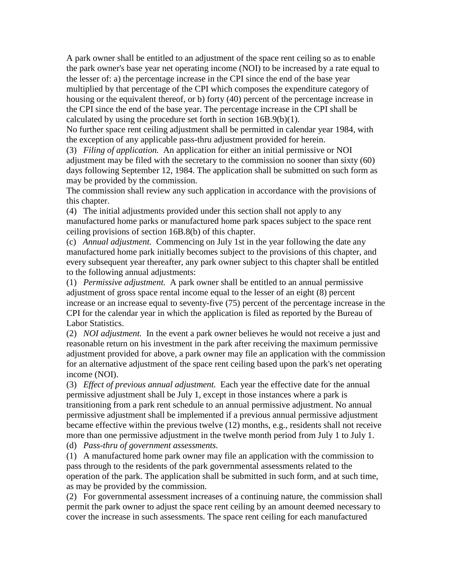A park owner shall be entitled to an adjustment of the space rent ceiling so as to enable the park owner's base year net operating income (NOI) to be increased by a rate equal to the lesser of: a) the percentage increase in the CPI since the end of the base year multiplied by that percentage of the CPI which composes the expenditure category of housing or the equivalent thereof, or b) forty (40) percent of the percentage increase in the CPI since the end of the base year. The percentage increase in the CPI shall be calculated by using the procedure set forth in section 16B.9(b)(1).

No further space rent ceiling adjustment shall be permitted in calendar year 1984, with the exception of any applicable pass-thru adjustment provided for herein.

(3) *Filing of application.* An application for either an initial permissive or NOI adjustment may be filed with the secretary to the commission no sooner than sixty (60) days following September 12, 1984. The application shall be submitted on such form as may be provided by the commission.

The commission shall review any such application in accordance with the provisions of this chapter.

(4) The initial adjustments provided under this section shall not apply to any manufactured home parks or manufactured home park spaces subject to the space rent ceiling provisions of section 16B.8(b) of this chapter.

(c) *Annual adjustment.* Commencing on July 1st in the year following the date any manufactured home park initially becomes subject to the provisions of this chapter, and every subsequent year thereafter, any park owner subject to this chapter shall be entitled to the following annual adjustments:

(1) *Permissive adjustment.* A park owner shall be entitled to an annual permissive adjustment of gross space rental income equal to the lesser of an eight (8) percent increase or an increase equal to seventy-five (75) percent of the percentage increase in the CPI for the calendar year in which the application is filed as reported by the Bureau of Labor Statistics.

(2) *NOI adjustment.* In the event a park owner believes he would not receive a just and reasonable return on his investment in the park after receiving the maximum permissive adjustment provided for above, a park owner may file an application with the commission for an alternative adjustment of the space rent ceiling based upon the park's net operating income (NOI).

(3) *Effect of previous annual adjustment.* Each year the effective date for the annual permissive adjustment shall be July 1, except in those instances where a park is transitioning from a park rent schedule to an annual permissive adjustment. No annual permissive adjustment shall be implemented if a previous annual permissive adjustment became effective within the previous twelve (12) months, e.g., residents shall not receive more than one permissive adjustment in the twelve month period from July 1 to July 1.

(d) *Pass-thru of government assessments.*

(1) A manufactured home park owner may file an application with the commission to pass through to the residents of the park governmental assessments related to the operation of the park. The application shall be submitted in such form, and at such time, as may be provided by the commission.

(2) For governmental assessment increases of a continuing nature, the commission shall permit the park owner to adjust the space rent ceiling by an amount deemed necessary to cover the increase in such assessments. The space rent ceiling for each manufactured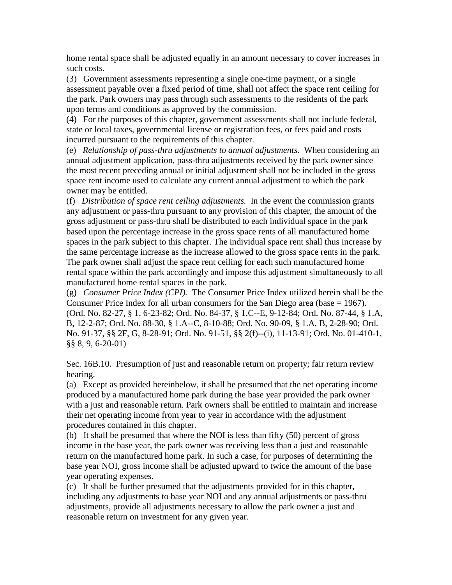home rental space shall be adjusted equally in an amount necessary to cover increases in such costs.

(3) Government assessments representing a single one-time payment, or a single assessment payable over a fixed period of time, shall not affect the space rent ceiling for the park. Park owners may pass through such assessments to the residents of the park upon terms and conditions as approved by the commission.

(4) For the purposes of this chapter, government assessments shall not include federal, state or local taxes, governmental license or registration fees, or fees paid and costs incurred pursuant to the requirements of this chapter.

(e) *Relationship of pass-thru adjustments to annual adjustments.* When considering an annual adjustment application, pass-thru adjustments received by the park owner since the most recent preceding annual or initial adjustment shall not be included in the gross space rent income used to calculate any current annual adjustment to which the park owner may be entitled.

(f) *Distribution of space rent ceiling adjustments.* In the event the commission grants any adjustment or pass-thru pursuant to any provision of this chapter, the amount of the gross adjustment or pass-thru shall be distributed to each individual space in the park based upon the percentage increase in the gross space rents of all manufactured home spaces in the park subject to this chapter. The individual space rent shall thus increase by the same percentage increase as the increase allowed to the gross space rents in the park. The park owner shall adjust the space rent ceiling for each such manufactured home rental space within the park accordingly and impose this adjustment simultaneously to all manufactured home rental spaces in the park.

(g) *Consumer Price Index (CPI).* The Consumer Price Index utilized herein shall be the Consumer Price Index for all urban consumers for the San Diego area (base = 1967). (Ord. No. 82-27, § 1, 6-23-82; Ord. No. 84-37, § 1.C--E, 9-12-84; Ord. No. 87-44, § 1.A, B, 12-2-87; Ord. No. 88-30, § 1.A--C, 8-10-88; Ord. No. 90-09, § 1.A, B, 2-28-90; Ord. No. 91-37, §§ 2F, G, 8-28-91; Ord. No. 91-51, §§ 2(f)--(i), 11-13-91; Ord. No. 01-410-1, §§ 8, 9, 6-20-01)

Sec. 16B.10. Presumption of just and reasonable return on property; fair return review hearing.

(a) Except as provided hereinbelow, it shall be presumed that the net operating income produced by a manufactured home park during the base year provided the park owner with a just and reasonable return. Park owners shall be entitled to maintain and increase their net operating income from year to year in accordance with the adjustment procedures contained in this chapter.

(b) It shall be presumed that where the NOI is less than fifty (50) percent of gross income in the base year, the park owner was receiving less than a just and reasonable return on the manufactured home park. In such a case, for purposes of determining the base year NOI, gross income shall be adjusted upward to twice the amount of the base year operating expenses.

(c) It shall be further presumed that the adjustments provided for in this chapter, including any adjustments to base year NOI and any annual adjustments or pass-thru adjustments, provide all adjustments necessary to allow the park owner a just and reasonable return on investment for any given year.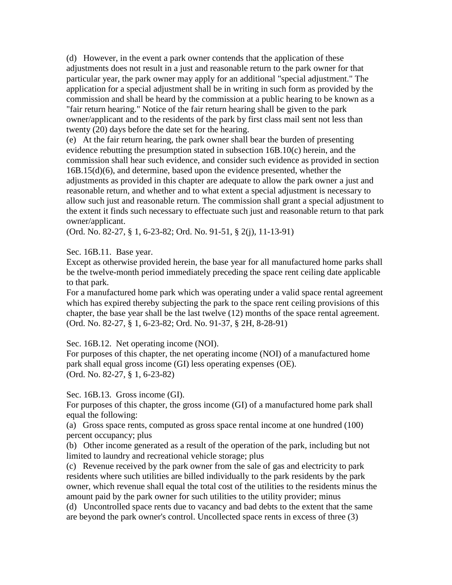(d) However, in the event a park owner contends that the application of these adjustments does not result in a just and reasonable return to the park owner for that particular year, the park owner may apply for an additional "special adjustment." The application for a special adjustment shall be in writing in such form as provided by the commission and shall be heard by the commission at a public hearing to be known as a "fair return hearing." Notice of the fair return hearing shall be given to the park owner/applicant and to the residents of the park by first class mail sent not less than twenty (20) days before the date set for the hearing.

(e) At the fair return hearing, the park owner shall bear the burden of presenting evidence rebutting the presumption stated in subsection 16B.10(c) herein, and the commission shall hear such evidence, and consider such evidence as provided in section 16B.15(d)(6), and determine, based upon the evidence presented, whether the adjustments as provided in this chapter are adequate to allow the park owner a just and reasonable return, and whether and to what extent a special adjustment is necessary to allow such just and reasonable return. The commission shall grant a special adjustment to the extent it finds such necessary to effectuate such just and reasonable return to that park owner/applicant.

(Ord. No. 82-27, § 1, 6-23-82; Ord. No. 91-51, § 2(j), 11-13-91)

Sec. 16B.11. Base year.

Except as otherwise provided herein, the base year for all manufactured home parks shall be the twelve-month period immediately preceding the space rent ceiling date applicable to that park.

For a manufactured home park which was operating under a valid space rental agreement which has expired thereby subjecting the park to the space rent ceiling provisions of this chapter, the base year shall be the last twelve (12) months of the space rental agreement. (Ord. No. 82-27, § 1, 6-23-82; Ord. No. 91-37, § 2H, 8-28-91)

Sec. 16B.12. Net operating income (NOI).

For purposes of this chapter, the net operating income (NOI) of a manufactured home park shall equal gross income (GI) less operating expenses (OE). (Ord. No. 82-27, § 1, 6-23-82)

Sec. 16B.13. Gross income (GI).

For purposes of this chapter, the gross income (GI) of a manufactured home park shall equal the following:

(a) Gross space rents, computed as gross space rental income at one hundred (100) percent occupancy; plus

(b) Other income generated as a result of the operation of the park, including but not limited to laundry and recreational vehicle storage; plus

(c) Revenue received by the park owner from the sale of gas and electricity to park residents where such utilities are billed individually to the park residents by the park owner, which revenue shall equal the total cost of the utilities to the residents minus the amount paid by the park owner for such utilities to the utility provider; minus

(d) Uncontrolled space rents due to vacancy and bad debts to the extent that the same are beyond the park owner's control. Uncollected space rents in excess of three (3)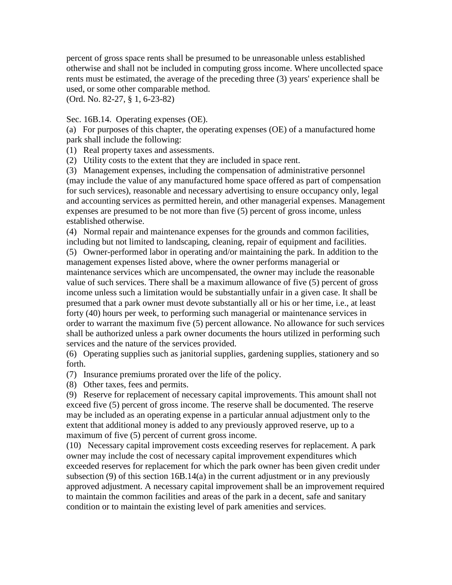percent of gross space rents shall be presumed to be unreasonable unless established otherwise and shall not be included in computing gross income. Where uncollected space rents must be estimated, the average of the preceding three (3) years' experience shall be used, or some other comparable method.

(Ord. No. 82-27, § 1, 6-23-82)

Sec. 16B.14. Operating expenses (OE).

(a) For purposes of this chapter, the operating expenses (OE) of a manufactured home park shall include the following:

(1) Real property taxes and assessments.

(2) Utility costs to the extent that they are included in space rent.

(3) Management expenses, including the compensation of administrative personnel (may include the value of any manufactured home space offered as part of compensation for such services), reasonable and necessary advertising to ensure occupancy only, legal and accounting services as permitted herein, and other managerial expenses. Management expenses are presumed to be not more than five (5) percent of gross income, unless established otherwise.

(4) Normal repair and maintenance expenses for the grounds and common facilities, including but not limited to landscaping, cleaning, repair of equipment and facilities.

(5) Owner-performed labor in operating and/or maintaining the park. In addition to the management expenses listed above, where the owner performs managerial or maintenance services which are uncompensated, the owner may include the reasonable value of such services. There shall be a maximum allowance of five (5) percent of gross income unless such a limitation would be substantially unfair in a given case. It shall be presumed that a park owner must devote substantially all or his or her time, i.e., at least forty (40) hours per week, to performing such managerial or maintenance services in order to warrant the maximum five (5) percent allowance. No allowance for such services shall be authorized unless a park owner documents the hours utilized in performing such services and the nature of the services provided.

(6) Operating supplies such as janitorial supplies, gardening supplies, stationery and so forth.

(7) Insurance premiums prorated over the life of the policy.

(8) Other taxes, fees and permits.

(9) Reserve for replacement of necessary capital improvements. This amount shall not exceed five (5) percent of gross income. The reserve shall be documented. The reserve may be included as an operating expense in a particular annual adjustment only to the extent that additional money is added to any previously approved reserve, up to a maximum of five (5) percent of current gross income.

(10) Necessary capital improvement costs exceeding reserves for replacement. A park owner may include the cost of necessary capital improvement expenditures which exceeded reserves for replacement for which the park owner has been given credit under subsection (9) of this section 16B.14(a) in the current adjustment or in any previously approved adjustment. A necessary capital improvement shall be an improvement required to maintain the common facilities and areas of the park in a decent, safe and sanitary condition or to maintain the existing level of park amenities and services.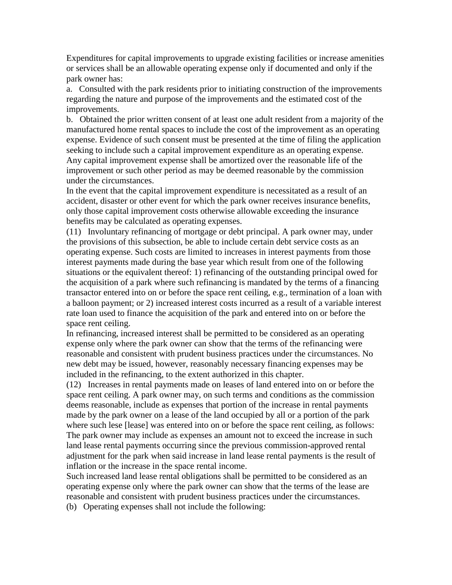Expenditures for capital improvements to upgrade existing facilities or increase amenities or services shall be an allowable operating expense only if documented and only if the park owner has:

a. Consulted with the park residents prior to initiating construction of the improvements regarding the nature and purpose of the improvements and the estimated cost of the improvements.

b. Obtained the prior written consent of at least one adult resident from a majority of the manufactured home rental spaces to include the cost of the improvement as an operating expense. Evidence of such consent must be presented at the time of filing the application seeking to include such a capital improvement expenditure as an operating expense. Any capital improvement expense shall be amortized over the reasonable life of the improvement or such other period as may be deemed reasonable by the commission under the circumstances.

In the event that the capital improvement expenditure is necessitated as a result of an accident, disaster or other event for which the park owner receives insurance benefits, only those capital improvement costs otherwise allowable exceeding the insurance benefits may be calculated as operating expenses.

(11) Involuntary refinancing of mortgage or debt principal. A park owner may, under the provisions of this subsection, be able to include certain debt service costs as an operating expense. Such costs are limited to increases in interest payments from those interest payments made during the base year which result from one of the following situations or the equivalent thereof: 1) refinancing of the outstanding principal owed for the acquisition of a park where such refinancing is mandated by the terms of a financing transactor entered into on or before the space rent ceiling, e.g., termination of a loan with a balloon payment; or 2) increased interest costs incurred as a result of a variable interest rate loan used to finance the acquisition of the park and entered into on or before the space rent ceiling.

In refinancing, increased interest shall be permitted to be considered as an operating expense only where the park owner can show that the terms of the refinancing were reasonable and consistent with prudent business practices under the circumstances. No new debt may be issued, however, reasonably necessary financing expenses may be included in the refinancing, to the extent authorized in this chapter.

(12) Increases in rental payments made on leases of land entered into on or before the space rent ceiling. A park owner may, on such terms and conditions as the commission deems reasonable, include as expenses that portion of the increase in rental payments made by the park owner on a lease of the land occupied by all or a portion of the park where such lese [lease] was entered into on or before the space rent ceiling, as follows: The park owner may include as expenses an amount not to exceed the increase in such land lease rental payments occurring since the previous commission-approved rental adjustment for the park when said increase in land lease rental payments is the result of inflation or the increase in the space rental income.

Such increased land lease rental obligations shall be permitted to be considered as an operating expense only where the park owner can show that the terms of the lease are reasonable and consistent with prudent business practices under the circumstances.

(b) Operating expenses shall not include the following: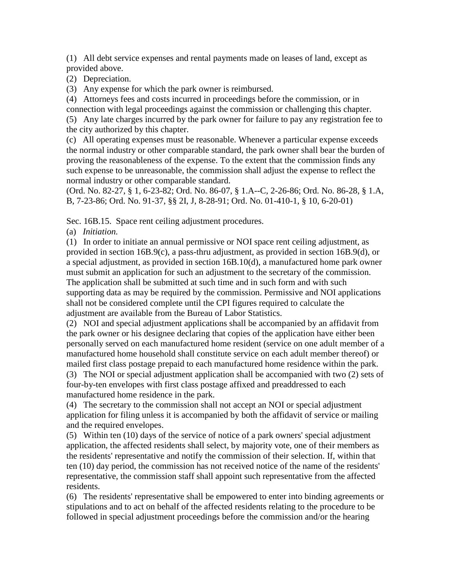(1) All debt service expenses and rental payments made on leases of land, except as provided above.

(2) Depreciation.

(3) Any expense for which the park owner is reimbursed.

(4) Attorneys fees and costs incurred in proceedings before the commission, or in connection with legal proceedings against the commission or challenging this chapter.

(5) Any late charges incurred by the park owner for failure to pay any registration fee to the city authorized by this chapter.

(c) All operating expenses must be reasonable. Whenever a particular expense exceeds the normal industry or other comparable standard, the park owner shall bear the burden of proving the reasonableness of the expense. To the extent that the commission finds any such expense to be unreasonable, the commission shall adjust the expense to reflect the normal industry or other comparable standard.

(Ord. No. 82-27, § 1, 6-23-82; Ord. No. 86-07, § 1.A--C, 2-26-86; Ord. No. 86-28, § 1.A, B, 7-23-86; Ord. No. 91-37, §§ 2I, J, 8-28-91; Ord. No. 01-410-1, § 10, 6-20-01)

Sec. 16B.15. Space rent ceiling adjustment procedures.

(a) *Initiation.*

(1) In order to initiate an annual permissive or NOI space rent ceiling adjustment, as provided in section 16B.9(c), a pass-thru adjustment, as provided in section 16B.9(d), or a special adjustment, as provided in section 16B.10(d), a manufactured home park owner must submit an application for such an adjustment to the secretary of the commission. The application shall be submitted at such time and in such form and with such supporting data as may be required by the commission. Permissive and NOI applications shall not be considered complete until the CPI figures required to calculate the adjustment are available from the Bureau of Labor Statistics.

(2) NOI and special adjustment applications shall be accompanied by an affidavit from the park owner or his designee declaring that copies of the application have either been personally served on each manufactured home resident (service on one adult member of a manufactured home household shall constitute service on each adult member thereof) or mailed first class postage prepaid to each manufactured home residence within the park. (3) The NOI or special adjustment application shall be accompanied with two (2) sets of

four-by-ten envelopes with first class postage affixed and preaddressed to each manufactured home residence in the park.

(4) The secretary to the commission shall not accept an NOI or special adjustment application for filing unless it is accompanied by both the affidavit of service or mailing and the required envelopes.

(5) Within ten (10) days of the service of notice of a park owners' special adjustment application, the affected residents shall select, by majority vote, one of their members as the residents' representative and notify the commission of their selection. If, within that ten (10) day period, the commission has not received notice of the name of the residents' representative, the commission staff shall appoint such representative from the affected residents.

(6) The residents' representative shall be empowered to enter into binding agreements or stipulations and to act on behalf of the affected residents relating to the procedure to be followed in special adjustment proceedings before the commission and/or the hearing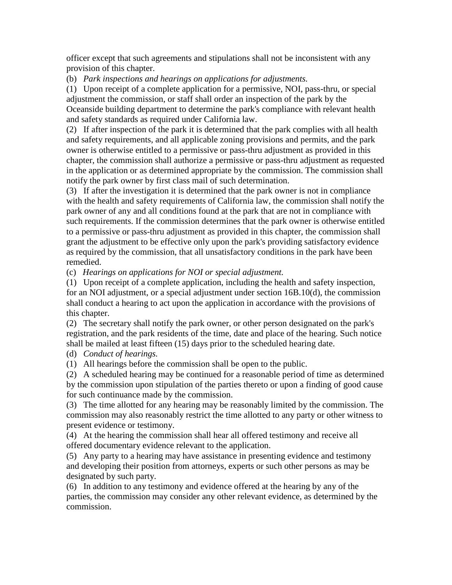officer except that such agreements and stipulations shall not be inconsistent with any provision of this chapter.

(b) *Park inspections and hearings on applications for adjustments.*

(1) Upon receipt of a complete application for a permissive, NOI, pass-thru, or special adjustment the commission, or staff shall order an inspection of the park by the Oceanside building department to determine the park's compliance with relevant health and safety standards as required under California law.

(2) If after inspection of the park it is determined that the park complies with all health and safety requirements, and all applicable zoning provisions and permits, and the park owner is otherwise entitled to a permissive or pass-thru adjustment as provided in this chapter, the commission shall authorize a permissive or pass-thru adjustment as requested in the application or as determined appropriate by the commission. The commission shall notify the park owner by first class mail of such determination.

(3) If after the investigation it is determined that the park owner is not in compliance with the health and safety requirements of California law, the commission shall notify the park owner of any and all conditions found at the park that are not in compliance with such requirements. If the commission determines that the park owner is otherwise entitled to a permissive or pass-thru adjustment as provided in this chapter, the commission shall grant the adjustment to be effective only upon the park's providing satisfactory evidence as required by the commission, that all unsatisfactory conditions in the park have been remedied.

(c) *Hearings on applications for NOI or special adjustment.*

(1) Upon receipt of a complete application, including the health and safety inspection, for an NOI adjustment, or a special adjustment under section 16B.10(d), the commission shall conduct a hearing to act upon the application in accordance with the provisions of this chapter.

(2) The secretary shall notify the park owner, or other person designated on the park's registration, and the park residents of the time, date and place of the hearing. Such notice shall be mailed at least fifteen (15) days prior to the scheduled hearing date.

(d) *Conduct of hearings.*

(1) All hearings before the commission shall be open to the public.

(2) A scheduled hearing may be continued for a reasonable period of time as determined by the commission upon stipulation of the parties thereto or upon a finding of good cause for such continuance made by the commission.

(3) The time allotted for any hearing may be reasonably limited by the commission. The commission may also reasonably restrict the time allotted to any party or other witness to present evidence or testimony.

(4) At the hearing the commission shall hear all offered testimony and receive all offered documentary evidence relevant to the application.

(5) Any party to a hearing may have assistance in presenting evidence and testimony and developing their position from attorneys, experts or such other persons as may be designated by such party.

(6) In addition to any testimony and evidence offered at the hearing by any of the parties, the commission may consider any other relevant evidence, as determined by the commission.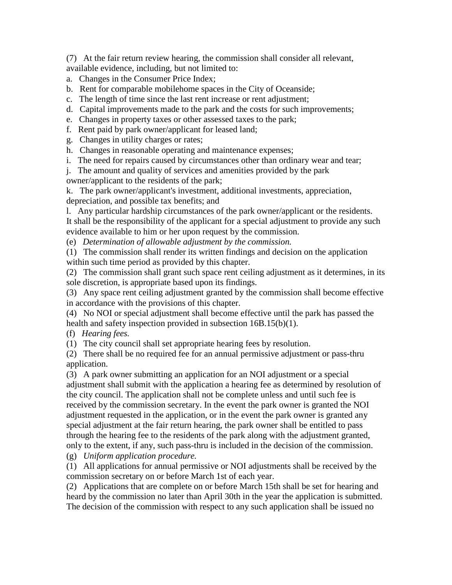(7) At the fair return review hearing, the commission shall consider all relevant, available evidence, including, but not limited to:

- a. Changes in the Consumer Price Index;
- b. Rent for comparable mobilehome spaces in the City of Oceanside;
- c. The length of time since the last rent increase or rent adjustment;
- d. Capital improvements made to the park and the costs for such improvements;
- e. Changes in property taxes or other assessed taxes to the park;
- f. Rent paid by park owner/applicant for leased land;
- g. Changes in utility charges or rates;
- h. Changes in reasonable operating and maintenance expenses;
- i. The need for repairs caused by circumstances other than ordinary wear and tear;

j. The amount and quality of services and amenities provided by the park

owner/applicant to the residents of the park;

k. The park owner/applicant's investment, additional investments, appreciation, depreciation, and possible tax benefits; and

l. Any particular hardship circumstances of the park owner/applicant or the residents. It shall be the responsibility of the applicant for a special adjustment to provide any such evidence available to him or her upon request by the commission.

(e) *Determination of allowable adjustment by the commission.*

(1) The commission shall render its written findings and decision on the application within such time period as provided by this chapter.

(2) The commission shall grant such space rent ceiling adjustment as it determines, in its sole discretion, is appropriate based upon its findings.

(3) Any space rent ceiling adjustment granted by the commission shall become effective in accordance with the provisions of this chapter.

(4) No NOI or special adjustment shall become effective until the park has passed the health and safety inspection provided in subsection 16B.15(b)(1).

(f) *Hearing fees.*

(1) The city council shall set appropriate hearing fees by resolution.

(2) There shall be no required fee for an annual permissive adjustment or pass-thru application.

(3) A park owner submitting an application for an NOI adjustment or a special adjustment shall submit with the application a hearing fee as determined by resolution of the city council. The application shall not be complete unless and until such fee is received by the commission secretary. In the event the park owner is granted the NOI adjustment requested in the application, or in the event the park owner is granted any special adjustment at the fair return hearing, the park owner shall be entitled to pass through the hearing fee to the residents of the park along with the adjustment granted, only to the extent, if any, such pass-thru is included in the decision of the commission.

(g) *Uniform application procedure.*

(1) All applications for annual permissive or NOI adjustments shall be received by the commission secretary on or before March 1st of each year.

(2) Applications that are complete on or before March 15th shall be set for hearing and heard by the commission no later than April 30th in the year the application is submitted. The decision of the commission with respect to any such application shall be issued no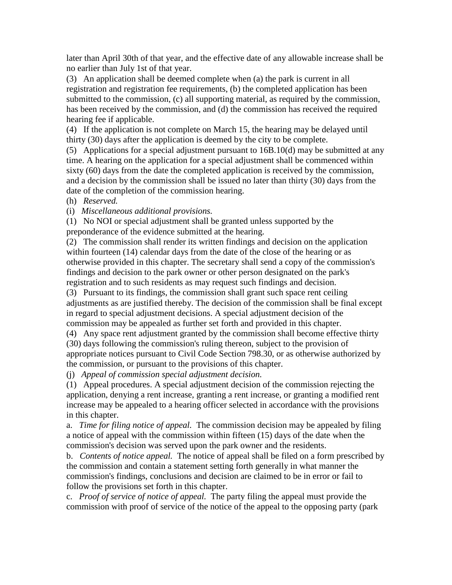later than April 30th of that year, and the effective date of any allowable increase shall be no earlier than July 1st of that year.

(3) An application shall be deemed complete when (a) the park is current in all registration and registration fee requirements, (b) the completed application has been submitted to the commission, (c) all supporting material, as required by the commission, has been received by the commission, and (d) the commission has received the required hearing fee if applicable.

(4) If the application is not complete on March 15, the hearing may be delayed until thirty (30) days after the application is deemed by the city to be complete.

(5) Applications for a special adjustment pursuant to 16B.10(d) may be submitted at any time. A hearing on the application for a special adjustment shall be commenced within sixty (60) days from the date the completed application is received by the commission, and a decision by the commission shall be issued no later than thirty (30) days from the date of the completion of the commission hearing.

(h) *Reserved.*

(i) *Miscellaneous additional provisions.*

(1) No NOI or special adjustment shall be granted unless supported by the preponderance of the evidence submitted at the hearing.

(2) The commission shall render its written findings and decision on the application within fourteen (14) calendar days from the date of the close of the hearing or as otherwise provided in this chapter. The secretary shall send a copy of the commission's findings and decision to the park owner or other person designated on the park's registration and to such residents as may request such findings and decision.

(3) Pursuant to its findings, the commission shall grant such space rent ceiling adjustments as are justified thereby. The decision of the commission shall be final except in regard to special adjustment decisions. A special adjustment decision of the commission may be appealed as further set forth and provided in this chapter.

(4) Any space rent adjustment granted by the commission shall become effective thirty (30) days following the commission's ruling thereon, subject to the provision of appropriate notices pursuant to Civil Code Section 798.30, or as otherwise authorized by the commission, or pursuant to the provisions of this chapter.

(j) *Appeal of commission special adjustment decision.*

(1) Appeal procedures. A special adjustment decision of the commission rejecting the application, denying a rent increase, granting a rent increase, or granting a modified rent increase may be appealed to a hearing officer selected in accordance with the provisions in this chapter.

a. *Time for filing notice of appeal.* The commission decision may be appealed by filing a notice of appeal with the commission within fifteen (15) days of the date when the commission's decision was served upon the park owner and the residents.

b. *Contents of notice appeal.* The notice of appeal shall be filed on a form prescribed by the commission and contain a statement setting forth generally in what manner the commission's findings, conclusions and decision are claimed to be in error or fail to follow the provisions set forth in this chapter.

c. *Proof of service of notice of appeal.* The party filing the appeal must provide the commission with proof of service of the notice of the appeal to the opposing party (park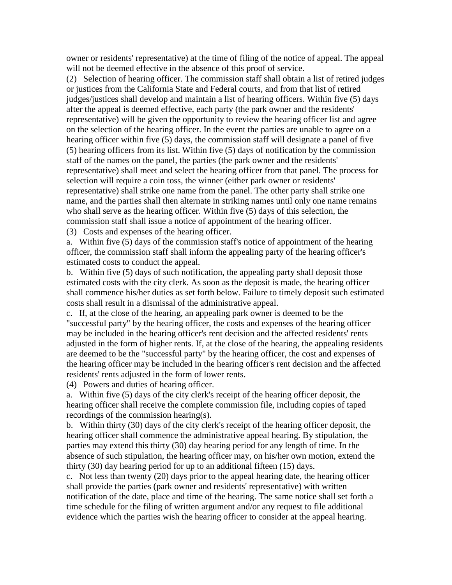owner or residents' representative) at the time of filing of the notice of appeal. The appeal will not be deemed effective in the absence of this proof of service.

(2) Selection of hearing officer. The commission staff shall obtain a list of retired judges or justices from the California State and Federal courts, and from that list of retired judges/justices shall develop and maintain a list of hearing officers. Within five (5) days after the appeal is deemed effective, each party (the park owner and the residents' representative) will be given the opportunity to review the hearing officer list and agree on the selection of the hearing officer. In the event the parties are unable to agree on a hearing officer within five (5) days, the commission staff will designate a panel of five (5) hearing officers from its list. Within five (5) days of notification by the commission staff of the names on the panel, the parties (the park owner and the residents' representative) shall meet and select the hearing officer from that panel. The process for selection will require a coin toss, the winner (either park owner or residents' representative) shall strike one name from the panel. The other party shall strike one name, and the parties shall then alternate in striking names until only one name remains who shall serve as the hearing officer. Within five (5) days of this selection, the commission staff shall issue a notice of appointment of the hearing officer.

(3) Costs and expenses of the hearing officer.

a. Within five (5) days of the commission staff's notice of appointment of the hearing officer, the commission staff shall inform the appealing party of the hearing officer's estimated costs to conduct the appeal.

b. Within five (5) days of such notification, the appealing party shall deposit those estimated costs with the city clerk. As soon as the deposit is made, the hearing officer shall commence his/her duties as set forth below. Failure to timely deposit such estimated costs shall result in a dismissal of the administrative appeal.

c. If, at the close of the hearing, an appealing park owner is deemed to be the "successful party" by the hearing officer, the costs and expenses of the hearing officer may be included in the hearing officer's rent decision and the affected residents' rents adjusted in the form of higher rents. If, at the close of the hearing, the appealing residents are deemed to be the "successful party" by the hearing officer, the cost and expenses of the hearing officer may be included in the hearing officer's rent decision and the affected residents' rents adjusted in the form of lower rents.

(4) Powers and duties of hearing officer.

a. Within five (5) days of the city clerk's receipt of the hearing officer deposit, the hearing officer shall receive the complete commission file, including copies of taped recordings of the commission hearing(s).

b. Within thirty (30) days of the city clerk's receipt of the hearing officer deposit, the hearing officer shall commence the administrative appeal hearing. By stipulation, the parties may extend this thirty (30) day hearing period for any length of time. In the absence of such stipulation, the hearing officer may, on his/her own motion, extend the thirty (30) day hearing period for up to an additional fifteen (15) days.

c. Not less than twenty (20) days prior to the appeal hearing date, the hearing officer shall provide the parties (park owner and residents' representative) with written notification of the date, place and time of the hearing. The same notice shall set forth a time schedule for the filing of written argument and/or any request to file additional evidence which the parties wish the hearing officer to consider at the appeal hearing.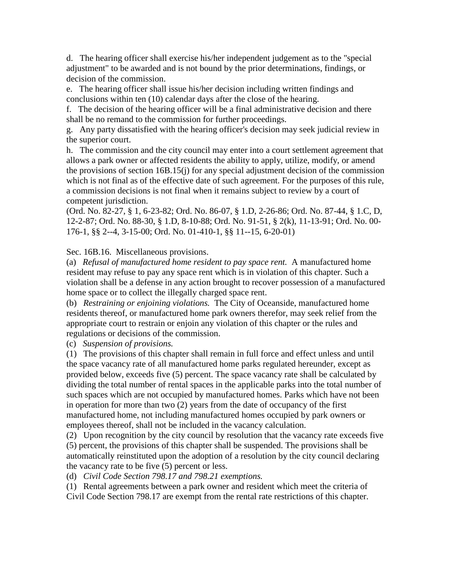d. The hearing officer shall exercise his/her independent judgement as to the "special adjustment" to be awarded and is not bound by the prior determinations, findings, or decision of the commission.

e. The hearing officer shall issue his/her decision including written findings and conclusions within ten (10) calendar days after the close of the hearing.

f. The decision of the hearing officer will be a final administrative decision and there shall be no remand to the commission for further proceedings.

g. Any party dissatisfied with the hearing officer's decision may seek judicial review in the superior court.

h. The commission and the city council may enter into a court settlement agreement that allows a park owner or affected residents the ability to apply, utilize, modify, or amend the provisions of section 16B.15(j) for any special adjustment decision of the commission which is not final as of the effective date of such agreement. For the purposes of this rule, a commission decisions is not final when it remains subject to review by a court of competent jurisdiction.

(Ord. No. 82-27, § 1, 6-23-82; Ord. No. 86-07, § 1.D, 2-26-86; Ord. No. 87-44, § 1.C, D, 12-2-87; Ord. No. 88-30, § 1.D, 8-10-88; Ord. No. 91-51, § 2(k), 11-13-91; Ord. No. 00- 176-1, §§ 2--4, 3-15-00; Ord. No. 01-410-1, §§ 11--15, 6-20-01)

Sec. 16B.16. Miscellaneous provisions.

(a) *Refusal of manufactured home resident to pay space rent.* A manufactured home resident may refuse to pay any space rent which is in violation of this chapter. Such a violation shall be a defense in any action brought to recover possession of a manufactured home space or to collect the illegally charged space rent.

(b) *Restraining or enjoining violations.* The City of Oceanside, manufactured home residents thereof, or manufactured home park owners therefor, may seek relief from the appropriate court to restrain or enjoin any violation of this chapter or the rules and regulations or decisions of the commission.

(c) *Suspension of provisions.*

(1) The provisions of this chapter shall remain in full force and effect unless and until the space vacancy rate of all manufactured home parks regulated hereunder, except as provided below, exceeds five (5) percent. The space vacancy rate shall be calculated by dividing the total number of rental spaces in the applicable parks into the total number of such spaces which are not occupied by manufactured homes. Parks which have not been in operation for more than two (2) years from the date of occupancy of the first manufactured home, not including manufactured homes occupied by park owners or employees thereof, shall not be included in the vacancy calculation.

(2) Upon recognition by the city council by resolution that the vacancy rate exceeds five (5) percent, the provisions of this chapter shall be suspended. The provisions shall be automatically reinstituted upon the adoption of a resolution by the city council declaring the vacancy rate to be five (5) percent or less.

(d) *Civil Code Section 798.17 and 798.21 exemptions.*

(1) Rental agreements between a park owner and resident which meet the criteria of Civil Code Section 798.17 are exempt from the rental rate restrictions of this chapter.